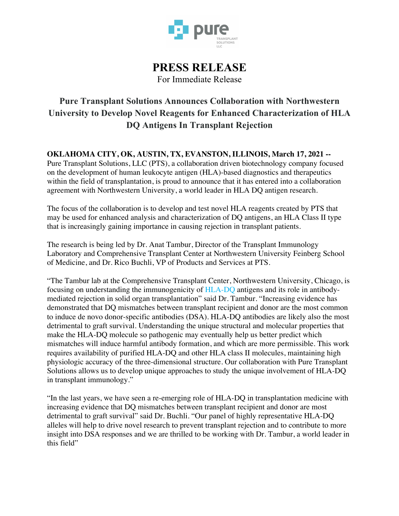

# **PRESS RELEASE** For Immediate Release

# **Pure Transplant Solutions Announces Collaboration with Northwestern University to Develop Novel Reagents for Enhanced Characterization of HLA DQ Antigens In Transplant Rejection**

**OKLAHOMA CITY, OK, AUSTIN, TX, EVANSTON, ILLINOIS, March 17, 2021 --**

Pure Transplant Solutions, LLC (PTS), a collaboration driven biotechnology company focused on the development of human leukocyte antigen (HLA)-based diagnostics and therapeutics within the field of transplantation, is proud to announce that it has entered into a collaboration agreement with Northwestern University, a world leader in HLA DQ antigen research.

The focus of the collaboration is to develop and test novel HLA reagents created by PTS that may be used for enhanced analysis and characterization of DQ antigens, an HLA Class II type that is increasingly gaining importance in causing rejection in transplant patients.

The research is being led by Dr. Anat Tambur, Director of the Transplant Immunology Laboratory and Comprehensive Transplant Center at Northwestern University Feinberg School of Medicine, and Dr. Rico Buchli, VP of Products and Services at PTS.

"The Tambur lab at the Comprehensive Transplant Center, Northwestern University, Chicago, is focusing on understanding the immunogenicity of HLA-DQ antigens and its role in antibodymediated rejection in solid organ transplantation" said Dr. Tambur. "Increasing evidence has demonstrated that DQ mismatches between transplant recipient and donor are the most common to induce de novo donor-specific antibodies (DSA). HLA-DQ antibodies are likely also the most detrimental to graft survival. Understanding the unique structural and molecular properties that make the HLA-DQ molecule so pathogenic may eventually help us better predict which mismatches will induce harmful antibody formation, and which are more permissible. This work requires availability of purified HLA-DQ and other HLA class II molecules, maintaining high physiologic accuracy of the three-dimensional structure. Our collaboration with Pure Transplant Solutions allows us to develop unique approaches to study the unique involvement of HLA-DQ in transplant immunology."

"In the last years, we have seen a re-emerging role of HLA-DQ in transplantation medicine with increasing evidence that DQ mismatches between transplant recipient and donor are most detrimental to graft survival" said Dr. Buchli. "Our panel of highly representative HLA-DQ alleles will help to drive novel research to prevent transplant rejection and to contribute to more insight into DSA responses and we are thrilled to be working with Dr. Tambur, a world leader in this field"